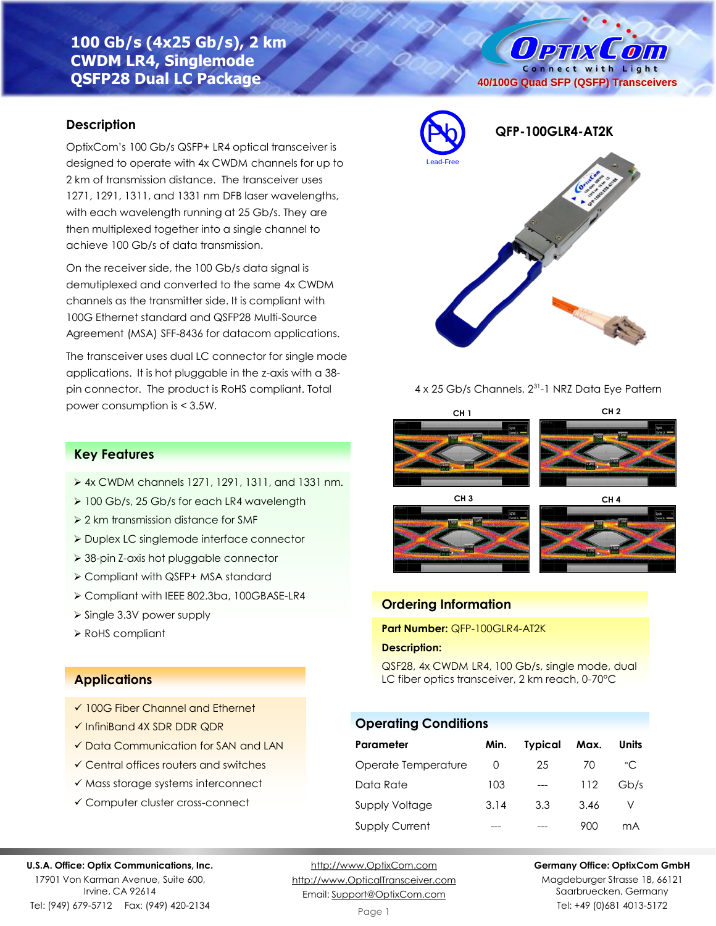# **100 Gb/s (4x25 Gb/s), 2 km CWDM LR4, Singlemode QSFP28 Dual LC Package**

## **Description**

OptixCom's 100 Gb/s QSFP+ LR4 optical transceiver is designed to operate with 4x CWDM channels for up to 2 km of transmission distance. The transceiver uses 1271, 1291, 1311, and 1331 nm DFB laser wavelengths, with each wavelength running at 25 Gb/s. They are then multiplexed together into a single channel to achieve 100 Gb/s of data transmission.

On the receiver side, the 100 Gb/s data signal is demutiplexed and converted to the same 4x CWDM channels as the transmitter side. It is compliant with 100G Ethernet standard and QSFP28 Multi-Source Agreement (MSA) SFF-8436 for datacom applications.

The transceiver uses dual LC connector for single mode applications. It is hot pluggable in the z-axis with a 38 pin connector. The product is RoHS compliant. Total power consumption is < 3.5W.

# Pb **QFP-100GLR4-AT2K** Lead-Free

**40/100G Quad SFP (QSFP) Transceivers**

**Ортіх Сопі** Connect with Light

#### 4 x 25 Gb/s Channels, 2<sup>31</sup>-1 NRZ Data Eye Pattern

# **CH 1 CH 2 CH 3 CH 4**





# **Ordering Information**

**Part Number:** QFP-100GLR4-AT2K

#### **Description:**

QSF28, 4x CWDM LR4, 100 Gb/s, single mode, dual LC fiber optics transceiver, 2 km reach, 0-70°C

#### **Operating Conditions**

| <b>Parameter</b>      | Min. | <b>Typical</b> | Max. | Units        |
|-----------------------|------|----------------|------|--------------|
| Operate Temperature   | O    | 25             | 70   | $^{\circ}$ C |
| Data Rate             | 103  | ---            | 112  | Gb/s         |
| <b>Supply Voltage</b> | 3.14 | 3.3            | 3.46 |              |
| <b>Supply Current</b> |      |                | 900  | mA           |

#### **Key Features**

- ➢ 4x CWDM channels 1271, 1291, 1311, and 1331 nm.
- ➢ 100 Gb/s, 25 Gb/s for each LR4 wavelength
- ➢ 2 km transmission distance for SMF
- ➢ Duplex LC singlemode interface connector
- ➢ 38-pin Z-axis hot pluggable connector
- ➢ Compliant with QSFP+ MSA standard
- ➢ Compliant with IEEE 802.3ba, 100GBASE-LR4
- ➢ Single 3.3V power supply
- ➢ RoHS compliant

#### **Applications**

- ✓ 100G Fiber Channel and Ethernet
- ✓ InfiniBand 4X SDR DDR QDR
- ✓ Data Communication for SAN and LAN
- ✓ Central offices routers and switches
- ✓ Mass storage systems interconnect
- ✓ Computer cluster cross-connect

#### **U.S.A. Office: Optix Communications, Inc.**

17901 Von Karman Avenue, Suite 600, Irvine, CA 92614 Tel: (949) 679-5712 Fax: (949) 420-2134

[http://www.OptixCom.com](http://www.optixcom.com/) [http://www.OpticalTransceiver.com](http://www.optoictech.com/) Email: [Support@OptixCom.com](mailto:Support@optoICtech.com)

#### **Germany Office: OptixCom GmbH**

Magdeburger Strasse 18, 66121 Saarbruecken, Germany Tel: +49 (0)681 4013-5172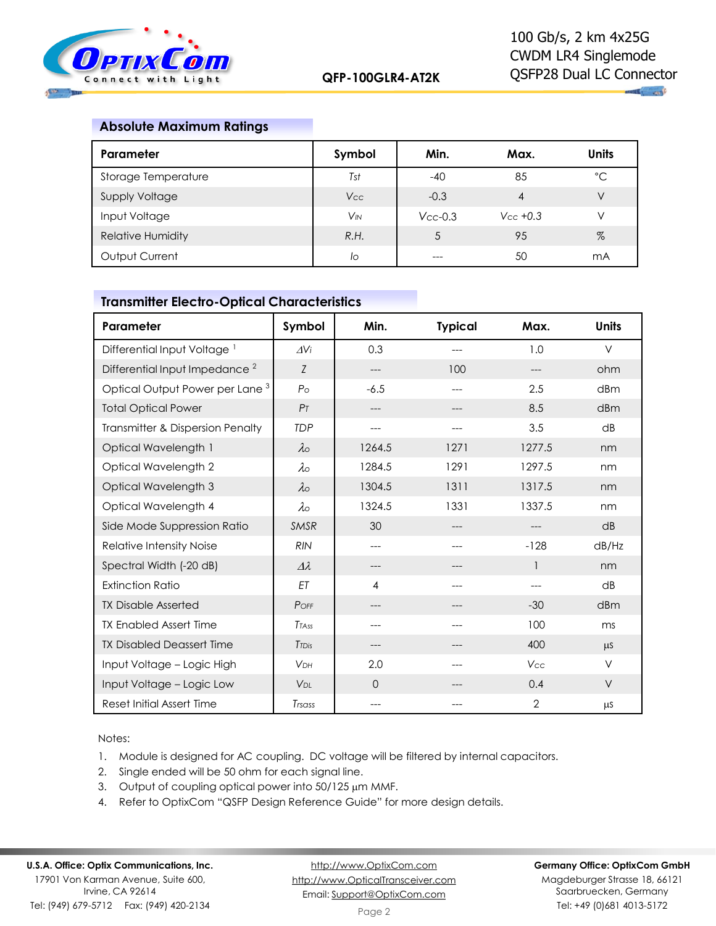

 $\mathbf{u}_1$  and

#### **Absolute Maximum Ratings**

| Parameter                | Symbol                | Min.          | Max.          | <b>Units</b> |
|--------------------------|-----------------------|---------------|---------------|--------------|
| Storage Temperature      | Tst                   | $-40$         | 85            | °C           |
| <b>Supply Voltage</b>    | Vcc                   | $-0.3$        | 4             | V            |
| Input Voltage            | <b>V<sub>IN</sub></b> | $V_{CC}$ -0.3 | $V_{CC}$ +0.3 | V            |
| <b>Relative Humidity</b> | R.H.                  |               | 95            | %            |
| Output Current           | lo                    |               | 50            | mA           |

# **Transmitter Electro-Optical Characteristics**

| Parameter                                  | Symbol                | Min.     | <b>Typical</b> | Max.           | <b>Units</b> |
|--------------------------------------------|-----------------------|----------|----------------|----------------|--------------|
| Differential Input Voltage <sup>1</sup>    | AVi                   | 0.3      | ---            | 1.0            | $\vee$       |
| Differential Input Impedance <sup>2</sup>  | Z                     | ---      | 100            | ---            | ohm          |
| Optical Output Power per Lane <sup>3</sup> | $P_{\Omega}$          | $-6.5$   | ---            | 2.5            | dBm          |
| <b>Total Optical Power</b>                 | P <sub>T</sub>        | ---      | ---            | 8.5            | dBm          |
| Transmitter & Dispersion Penalty           | <b>TDP</b>            | $---$    | ---            | 3.5            | dB           |
| Optical Wavelength 1                       | $\lambda \circ$       | 1264.5   | 1271           | 1277.5         | nm           |
| Optical Wavelength 2                       | $\lambda \circ$       | 1284.5   | 1291           | 1297.5         | nm           |
| Optical Wavelength 3                       | $\lambda \circ$       | 1304.5   | 1311           | 1317.5         | nm           |
| Optical Wavelength 4                       | $\lambda \circ$       | 1324.5   | 1331           | 1337.5         | nm           |
| Side Mode Suppression Ratio                | <b>SMSR</b>           | 30       | ---            |                | dB           |
| Relative Intensity Noise                   | <b>RIN</b>            | $---$    |                | $-128$         | dB/Hz        |
| Spectral Width (-20 dB)                    | $\Delta\lambda$       | ---      |                | 1              | nm           |
| <b>Extinction Ratio</b>                    | ET                    | 4        | ---            |                | dB           |
| <b>TX Disable Asserted</b>                 | POFF                  |          |                | $-30$          | dBm          |
| <b>TX Enabled Assert Time</b>              | <b>TTASS</b>          | ---      | ---            | 100            | ms           |
| <b>TX Disabled Deassert Time</b>           | <b>T</b> TDis         | ---      | ---            | 400            | $\mu$ S      |
| Input Voltage - Logic High                 | <b>VDH</b>            | 2.0      |                | Vcc            | $\vee$       |
| Input Voltage - Logic Low                  | <b>V<sub>DL</sub></b> | $\Omega$ |                | 0.4            | V            |
| Reset Initial Assert Time                  | Trsass                | $---$    |                | $\overline{2}$ | μS           |

Notes:

- 1. Module is designed for AC coupling. DC voltage will be filtered by internal capacitors.
- 2. Single ended will be 50 ohm for each signal line.
- 3. Output of coupling optical power into  $50/125 \mu m$  MMF.
- 4. Refer to OptixCom "QSFP Design Reference Guide" for more design details.

[http://www.OptixCom.com](http://www.optixcom.com/) [http://www.OpticalTransceiver.com](http://www.optoictech.com/) Email: [Support@OptixCom.com](mailto:Support@optoICtech.com)

#### **Germany Office: OptixCom GmbH**

Magdeburger Strasse 18, 66121 Saarbruecken, Germany Tel: +49 (0)681 4013-5172